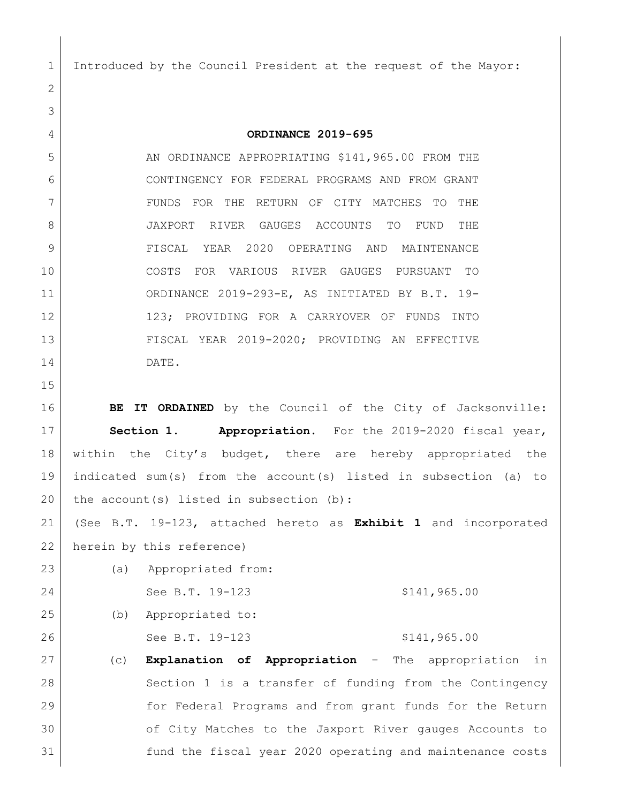Introduced by the Council President at the request of the Mayor:

 **ORDINANCE 2019-695** 5 AN ORDINANCE APPROPRIATING \$141,965.00 FROM THE CONTINGENCY FOR FEDERAL PROGRAMS AND FROM GRANT FUNDS FOR THE RETURN OF CITY MATCHES TO THE JAXPORT RIVER GAUGES ACCOUNTS TO FUND THE FISCAL YEAR 2020 OPERATING AND MAINTENANCE COSTS FOR VARIOUS RIVER GAUGES PURSUANT TO ORDINANCE 2019-293-E, AS INITIATED BY B.T. 19- 123; PROVIDING FOR A CARRYOVER OF FUNDS INTO FISCAL YEAR 2019-2020; PROVIDING AN EFFECTIVE DATE. **BE IT ORDAINED** by the Council of the City of Jacksonville: **Section 1. Appropriation.** For the 2019-2020 fiscal year, 18 within the City's budget, there are hereby appropriated the indicated sum(s) from the account(s) listed in subsection (a) to 20 the account(s) listed in subsection  $(b)$ :

 (See B.T. 19-123, attached hereto as **Exhibit 1** and incorporated herein by this reference)

- (a) Appropriated from: 24 See B.T. 19-123 \$141,965.00 (b) Appropriated to: 26 See B.T. 19-123 \$141,965.00
- 27 (c) **Explanation of Appropriation**  The appropriation in Section 1 is a transfer of funding from the Contingency for Federal Programs and from grant funds for the Return of City Matches to the Jaxport River gauges Accounts to fund the fiscal year 2020 operating and maintenance costs